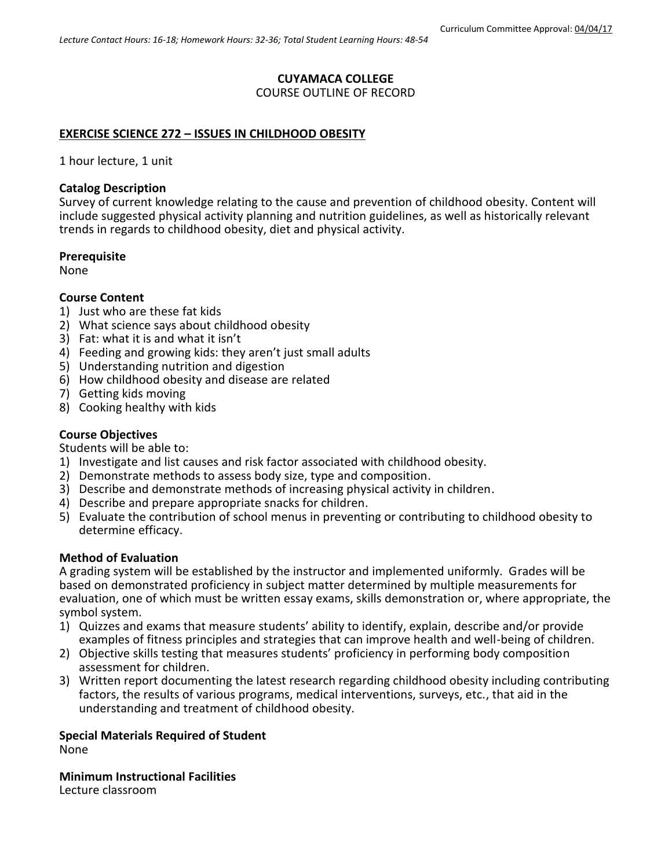# **CUYAMACA COLLEGE**

COURSE OUTLINE OF RECORD

### **EXERCISE SCIENCE 272 – ISSUES IN CHILDHOOD OBESITY**

1 hour lecture, 1 unit

#### **Catalog Description**

Survey of current knowledge relating to the cause and prevention of childhood obesity. Content will include suggested physical activity planning and nutrition guidelines, as well as historically relevant trends in regards to childhood obesity, diet and physical activity.

### **Prerequisite**

None

#### **Course Content**

- 1) Just who are these fat kids
- 2) What science says about childhood obesity
- 3) Fat: what it is and what it isn't
- 4) Feeding and growing kids: they aren't just small adults
- 5) Understanding nutrition and digestion
- 6) How childhood obesity and disease are related
- 7) Getting kids moving
- 8) Cooking healthy with kids

### **Course Objectives**

Students will be able to:

- 1) Investigate and list causes and risk factor associated with childhood obesity.
- 2) Demonstrate methods to assess body size, type and composition.
- 3) Describe and demonstrate methods of increasing physical activity in children.
- 4) Describe and prepare appropriate snacks for children.
- 5) Evaluate the contribution of school menus in preventing or contributing to childhood obesity to determine efficacy.

#### **Method of Evaluation**

A grading system will be established by the instructor and implemented uniformly. Grades will be based on demonstrated proficiency in subject matter determined by multiple measurements for evaluation, one of which must be written essay exams, skills demonstration or, where appropriate, the symbol system.

- 1) Quizzes and exams that measure students' ability to identify, explain, describe and/or provide examples of fitness principles and strategies that can improve health and well-being of children.
- 2) Objective skills testing that measures students' proficiency in performing body composition assessment for children.
- 3) Written report documenting the latest research regarding childhood obesity including contributing factors, the results of various programs, medical interventions, surveys, etc., that aid in the understanding and treatment of childhood obesity.

**Special Materials Required of Student**

None

**Minimum Instructional Facilities**

Lecture classroom